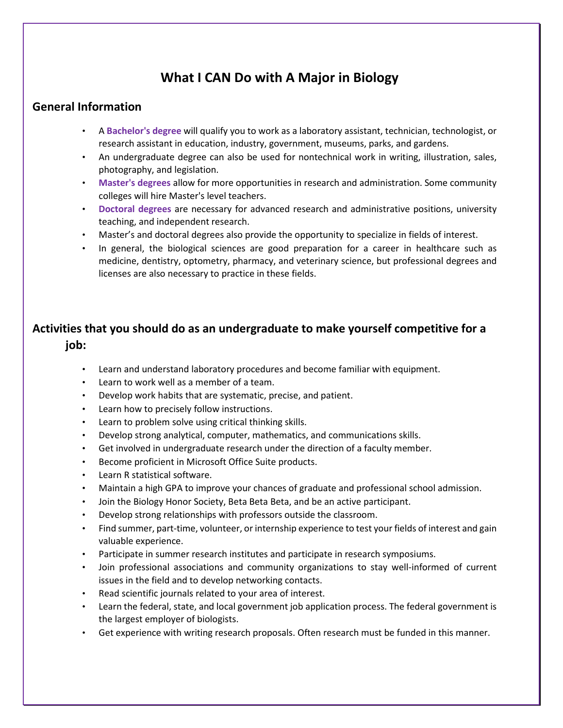## **What I CAN Do with A Major in Biology**

## **General Information**

- A **Bachelor's degree** will qualify you to work as a laboratory assistant, technician, technologist, or research assistant in education, industry, government, museums, parks, and gardens.
- An undergraduate degree can also be used for nontechnical work in writing, illustration, sales, photography, and legislation.
- **Master's degrees** allow for more opportunities in research and administration. Some community colleges will hire Master's level teachers.
- **Doctoral degrees** are necessary for advanced research and administrative positions, university teaching, and independent research.
- Master's and doctoral degrees also provide the opportunity to specialize in fields of interest.
- In general, the biological sciences are good preparation for a career in healthcare such as medicine, dentistry, optometry, pharmacy, and veterinary science, but professional degrees and licenses are also necessary to practice in these fields.

## **Activities that you should do as an undergraduate to make yourself competitive for a job:**

- Learn and understand laboratory procedures and become familiar with equipment.
- Learn to work well as a member of a team.
- Develop work habits that are systematic, precise, and patient.
- Learn how to precisely follow instructions.
- Learn to problem solve using critical thinking skills.
- Develop strong analytical, computer, mathematics, and communications skills.
- Get involved in undergraduate research under the direction of a faculty member.
- Become proficient in Microsoft Office Suite products.
- Learn R statistical software.
- Maintain a high GPA to improve your chances of graduate and professional school admission.
- Join the Biology Honor Society, Beta Beta Beta, and be an active participant.
- Develop strong relationships with professors outside the classroom.
- Find summer, part-time, volunteer, or internship experience to test your fields of interest and gain valuable experience.
- Participate in summer research institutes and participate in research symposiums.
- Join professional associations and community organizations to stay well-informed of current issues in the field and to develop networking contacts.
- Read scientific journals related to your area of interest.
- Learn the federal, state, and local government job application process. The federal government is the largest employer of biologists.
- Get experience with writing research proposals. Often research must be funded in this manner.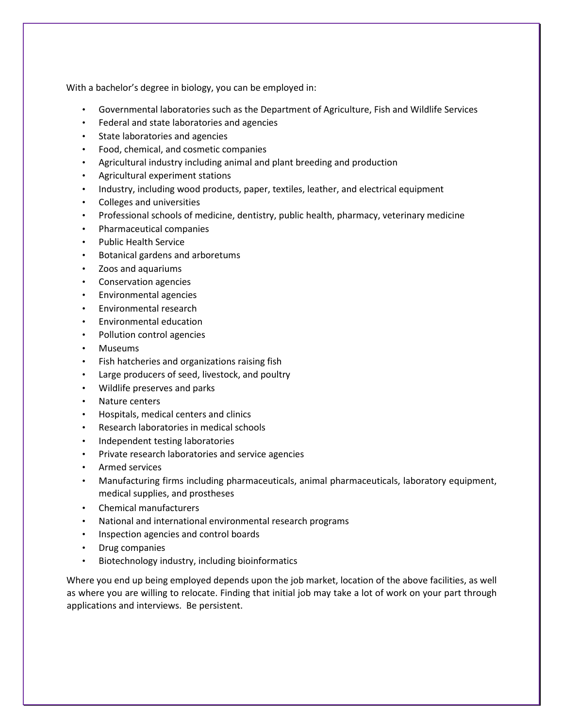With a bachelor's degree in biology, you can be employed in:

- Governmental laboratories such as the Department of Agriculture, Fish and Wildlife Services
- Federal and state laboratories and agencies
- State laboratories and agencies
- Food, chemical, and cosmetic companies
- Agricultural industry including animal and plant breeding and production
- Agricultural experiment stations
- Industry, including wood products, paper, textiles, leather, and electrical equipment
- Colleges and universities
- Professional schools of medicine, dentistry, public health, pharmacy, veterinary medicine
- Pharmaceutical companies
- Public Health Service
- Botanical gardens and arboretums
- Zoos and aquariums
- Conservation agencies
- Environmental agencies
- Environmental research
- Environmental education
- Pollution control agencies
- Museums
- Fish hatcheries and organizations raising fish
- Large producers of seed, livestock, and poultry
- Wildlife preserves and parks
- Nature centers
- Hospitals, medical centers and clinics
- Research laboratories in medical schools
- Independent testing laboratories
- Private research laboratories and service agencies
- Armed services
- Manufacturing firms including pharmaceuticals, animal pharmaceuticals, laboratory equipment, medical supplies, and prostheses
- Chemical manufacturers
- National and international environmental research programs
- Inspection agencies and control boards
- Drug companies
- Biotechnology industry, including bioinformatics

Where you end up being employed depends upon the job market, location of the above facilities, as well as where you are willing to relocate. Finding that initial job may take a lot of work on your part through applications and interviews. Be persistent.